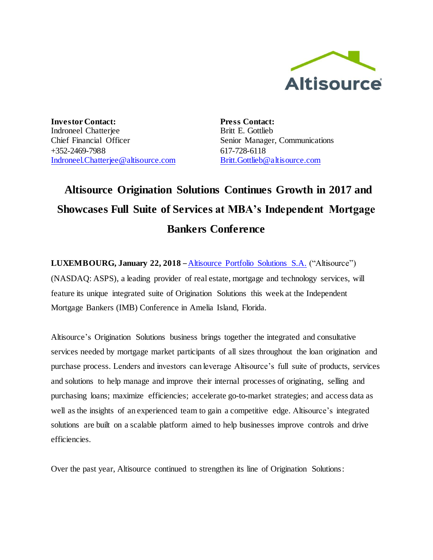

**Investor Contact:** Indroneel Chatterjee Chief Financial Officer +352-2469-7988 [Indroneel.Chatterjee@altisource.com](mailto:Indroneel.Chatterjee@altisource.com) **Press Contact:** Britt E. Gottlieb Senior Manager, Communications 617-728-6118 [Britt.Gottlieb@altisource.com](mailto:Britt.Gottlieb@altisource.com)

## **Altisource Origination Solutions Continues Growth in 2017 and Showcases Full Suite of Services at MBA's Independent Mortgage Bankers Conference**

**LUXEMBOURG, January 22, 2018** – [Altisource Portfolio Solutions S.A.](https://www.altisource.com/?utm_campaign=OriginationMomentum2018&utm_source=PR&utm_medium=PR&utm_content=first) ("Altisource") (NASDAQ: ASPS), a leading provider of real estate, mortgage and technology services, will feature its unique integrated suite of Origination Solutions this week at the Independent Mortgage Bankers (IMB) Conference in Amelia Island, Florida.

Altisource's Origination Solutions business brings together the integrated and consultative services needed by mortgage market participants of all sizes throughout the loan origination and purchase process. Lenders and investors can leverage Altisource's full suite of products, services and solutions to help manage and improve their internal processes of originating, selling and purchasing loans; maximize efficiencies; accelerate go-to-market strategies; and access data as well as the insights of an experienced team to gain a competitive edge. Altisource's integrated solutions are built on a scalable platform aimed to help businesses improve controls and drive efficiencies.

Over the past year, Altisource continued to strengthen its line of Origination Solutions: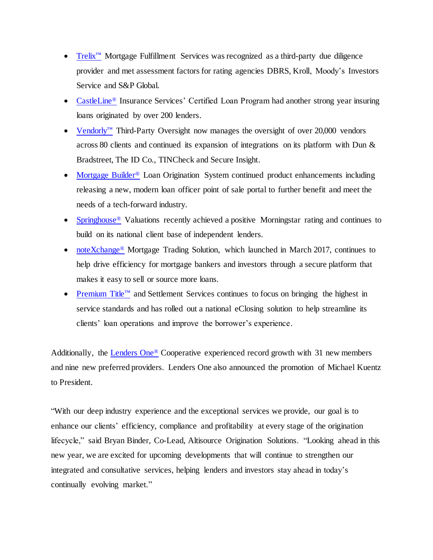- [Trelix](https://www.trelix.com/?utm_campaign=OriginationMomentum2018&utm_source=PR&utm_medium=PR&utm_content=second)<sup>™</sup> Mortgage Fulfillment Services was recognized as a third-party due diligence provider and met assessment factors for rating agencies DBRS, Kroll, Moody's Investors Service and S&P Global.
- [CastleLine](http://castleline.com/?utm_campaign=OriginationMomentum2018&utm_source=PR&utm_medium=PR&utm_content=second)<sup>®</sup> Insurance Services' Certified Loan Program had another strong year insuring loans originated by over 200 lenders.
- [Vendorly](https://www.vendorly.com/?utm_campaign=OriginationMomentum2018&utm_source=PR&utm_medium=PR&utm_content=second)™ Third-Party Oversight now manages the oversight of over 20,000 vendors across 80 clients and continued its expansion of integrations on its platform with Dun & Bradstreet, The ID Co., TINCheck and Secure Insight.
- [Mortgage Builder](http://www.mortgagebuilder.com/?utm_campaign=OriginationMomentum2018&utm_source=PR&utm_medium=PR&utm_content=second)<sup>®</sup> Loan Origination System continued product enhancements including releasing a new, modern loan officer point of sale portal to further benefit and meet the needs of a tech-forward industry.
- [Springhouse](http://www.springhouseamc.com/?utm_campaign=OriginationMomentum2018&utm_source=PR&utm_medium=PR&utm_content=second)<sup>®</sup> Valuations recently achieved a positive Morningstar rating and continues to build on its national client base of independent lenders.
- [noteXchange](https://www.notexchange.com/?utm_campaign=OriginationMomentum2018&utm_source=PR&utm_medium=PR&utm_content=second)<sup>®</sup> Mortgage Trading Solution, which launched in March 2017, continues to help drive efficiency for mortgage bankers and investors through a secure platform that makes it easy to sell or source more loans.
- [Premium Title](https://www.mypremiumtitle.com/?utm_campaign=OriginationMomentum2018&utm_source=PR&utm_medium=PR&utm_content=second)™ and Settlement Services continues to focus on bringing the highest in service standards and has rolled out a national eClosing solution to help streamline its clients' loan operations and improve the borrower's experience.

Additionally, the [Lenders One](http://www.lendersone.com/?utm_campaign=OriginationMomentum2018&utm_source=PR&utm_medium=PR&utm_content=second)<sup>®</sup> Cooperative experienced record growth with 31 new members and nine new preferred providers. Lenders One also announced the promotion of Michael Kuentz to President.

"With our deep industry experience and the exceptional services we provide, our goal is to enhance our clients' efficiency, compliance and profitability at every stage of the origination lifecycle," said Bryan Binder, Co-Lead, Altisource Origination Solutions. "Looking ahead in this new year, we are excited for upcoming developments that will continue to strengthen our integrated and consultative services, helping lenders and investors stay ahead in today's continually evolving market."